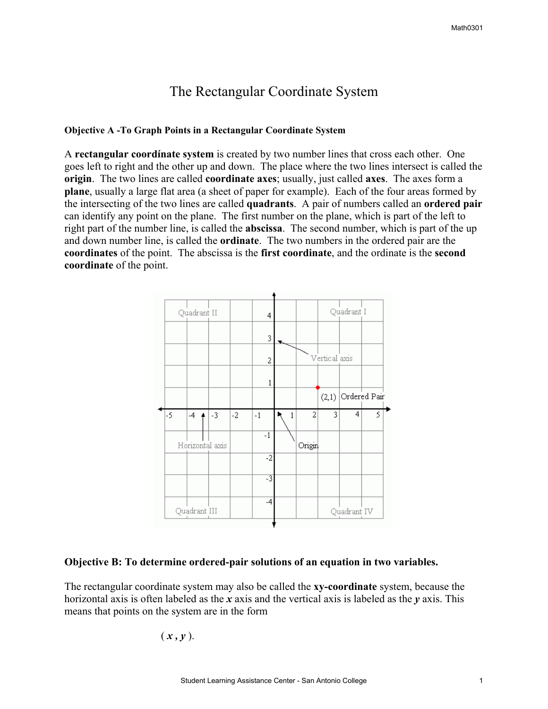# The Rectangular Coordinate System

#### **Objective A -To Graph Points in a Rectangular Coordinate System**

A **rectangular coordínate system** is created by two number lines that cross each other. One goes left to right and the other up and down. The place where the two lines intersect is called the **origin**. The two lines are called **coordinate axes**; usually, just called **axes**. The axes form a **plane**, usually a large flat area (a sheet of paper for example). Each of the four areas formed by the intersecting of the two lines are called **quadrants**. A pair of numbers called an **ordered pair** can identify any point on the plane. The first number on the plane, which is part of the left to right part of the number line, is called the **abscissa**. The second number, which is part of the up and down number line, is called the **ordinate**. The two numbers in the ordered pair are the **coordinates** of the point. The abscissa is the **first coordinate**, and the ordinate is the **second coordinate** of the point.



#### **Objective B: To determine ordered-pair solutions of an equation in two variables.**

The rectangular coordinate system may also be called the **xy-coordinate** system, because the horizontal axis is often labeled as the *x* axis and the vertical axis is labeled as the *y* axis. This means that points on the system are in the form

 $(x, y)$ .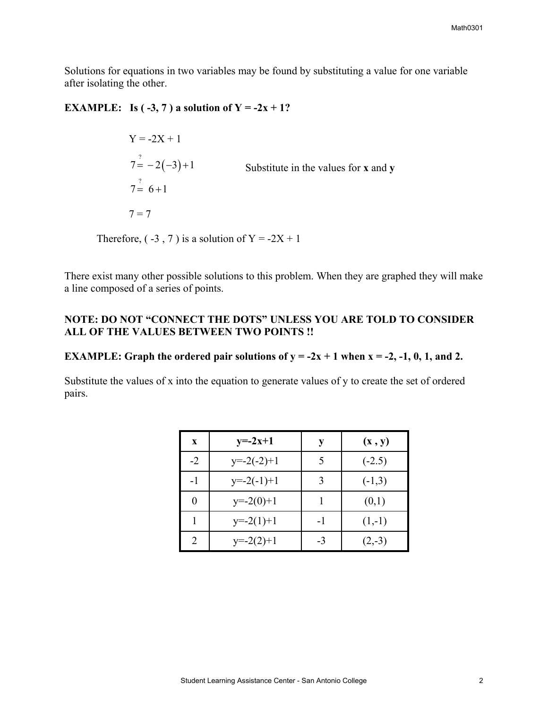Solutions for equations in two variables may be found by substituting a value for one variable after isolating the other.

## **EXAMPLE:** Is  $(-3, 7)$  a solution of  $Y = -2x + 1$ ?

 $Y = -2X + 1$  $7 = -2(-3)+1$  Substitute in the values for **x** and **y**  $7^{\frac{7}{2}}$  6+1  $7 = 7$ 

Therefore,  $(-3, 7)$  is a solution of Y =  $-2X + 1$ 

There exist many other possible solutions to this problem. When they are graphed they will make a line composed of a series of points.

## **NOTE: DO NOT "CONNECT THE DOTS" UNLESS YOU ARE TOLD TO CONSIDER ALL OF THE VALUES BETWEEN TWO POINTS !!**

### **EXAMPLE:** Graph the ordered pair solutions of  $y = -2x + 1$  when  $x = -2, -1, 0, 1,$  and 2.

Substitute the values of x into the equation to generate values of y to create the set of ordered pairs.

| X    | $y=-2x+1$    |      | (x, y)   |
|------|--------------|------|----------|
| $-2$ | $y=-2(-2)+1$ |      | $(-2.5)$ |
| $-1$ | $y=-2(-1)+1$ |      | $(-1,3)$ |
|      | $y=-2(0)+1$  |      | (0,1)    |
|      | $y=-2(1)+1$  | $-1$ | $(1,-1)$ |
|      | $y=-2(2)+1$  | $-3$ | $(2,-3)$ |